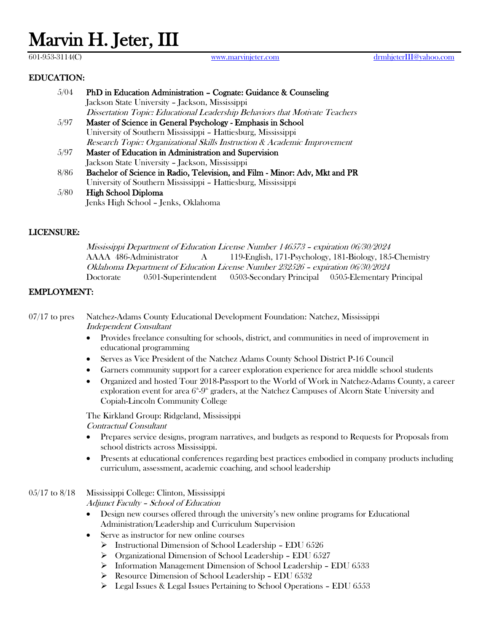601-953-3114(C) [www.marvinjeter.com](http://www.marvinjeter.com/) [drmhjeterIII@yahoo.com](mailto:drmhjeterIII@yahoo.com)

## EDUCATION:

| 5/04 | PhD in Education Administration - Cognate: Guidance & Counseling            |
|------|-----------------------------------------------------------------------------|
|      | Jackson State University - Jackson, Mississippi                             |
|      | Dissertation Topic: Educational Leadership Behaviors that Motivate Teachers |
| 5/97 | Master of Science in General Psychology - Emphasis in School                |
|      | University of Southern Mississippi - Hattiesburg, Mississippi               |
|      | Research Topic: Organizational Skills Instruction & Academic Improvement    |
| 5/97 | Master of Education in Administration and Supervision                       |
|      | Jackson State University - Jackson, Mississippi                             |
| 8/86 | Bachelor of Science in Radio, Television, and Film - Minor: Adv, Mkt and PR |
|      | University of Southern Mississippi – Hattiesburg, Mississippi               |
| 5/80 | High School Diploma                                                         |
|      | Jenks High School - Jenks, Oklahoma                                         |

### LICENSURE:

Mississippi Department of Education License Number 146573 – expiration 06/30/2024 AAAA 486-Administrator A 119-English, 171-Psychology, 181-Biology, 185-Chemistry Oklahoma Department of Education License Number 232526 – expiration 06/30/2024 Doctorate 0501-Superintendent 0503-Secondary Principal 0505-Elementary Principal

### EMPLOYMENT:

07/17 to pres Natchez-Adams County Educational Development Foundation: Natchez, Mississippi Independent Consultant

- Provides freelance consulting for schools, district, and communities in need of improvement in educational programming
- Serves as Vice President of the Natchez Adams County School District P-16 Council
- Garners community support for a career exploration experience for area middle school students
- Organized and hosted Tour 2018-Passport to the World of Work in Natchez-Adams County, a career exploration event for area  $6^{\text{th}}-9^{\text{th}}$  graders, at the Natchez Campuses of Alcorn State University and Copiah-Lincoln Community College

The Kirkland Group: Ridgeland, Mississippi Contractual Consultant

- Prepares service designs, program narratives, and budgets as respond to Requests for Proposals from school districts across Mississippi.
- Presents at educational conferences regarding best practices embodied in company products including curriculum, assessment, academic coaching, and school leadership

## 05/17 to 8/18 Mississippi College: Clinton, Mississippi

Adjunct Faculty – School of Education

- Design new courses offered through the university's new online programs for Educational Administration/Leadership and Curriculum Supervision
- Serve as instructor for new online courses
	- ➢ Instructional Dimension of School Leadership EDU 6526
	- ➢ Organizational Dimension of School Leadership EDU 6527
	- ➢ Information Management Dimension of School Leadership EDU 6533
	- ➢ Resource Dimension of School Leadership EDU 6532
	- ➢ Legal Issues & Legal Issues Pertaining to School Operations EDU 6553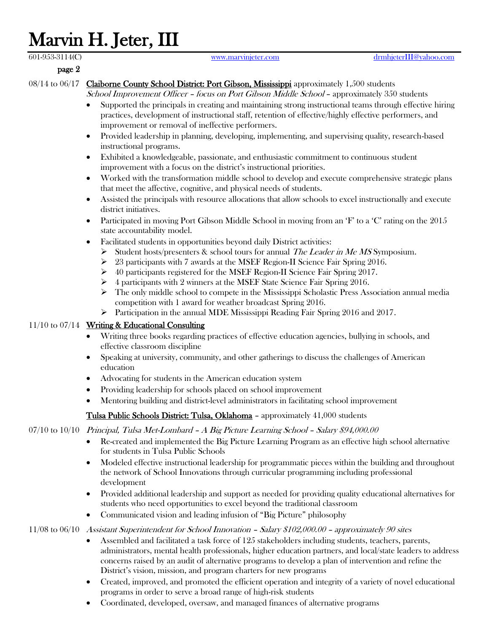#### page 2

08/14 to 06/17 Claiborne County School District: Port Gibson, Mississippi approximately 1,500 students

School Improvement Officer – focus on Port Gibson Middle School – approximately 350 students

- Supported the principals in creating and maintaining strong instructional teams through effective hiring practices, development of instructional staff, retention of effective/highly effective performers, and improvement or removal of ineffective performers.
- Provided leadership in planning, developing, implementing, and supervising quality, research-based instructional programs.
- Exhibited a knowledgeable, passionate, and enthusiastic commitment to continuous student improvement with a focus on the district's instructional priorities.
- Worked with the transformation middle school to develop and execute comprehensive strategic plans that meet the affective, cognitive, and physical needs of students.
- Assisted the principals with resource allocations that allow schools to excel instructionally and execute district initiatives.
- Participated in moving Port Gibson Middle School in moving from an  $F'$  to a 'C' rating on the 2015 state accountability model.
- Facilitated students in opportunities beyond daily District activities:
	- $\triangleright$  Student hosts/presenters & school tours for annual The Leader in Me MS Symposium.
	- ➢ 23 participants with 7 awards at the MSEF Region-II Science Fair Spring 2016.
	- ➢ 40 participants registered for the MSEF Region-II Science Fair Spring 2017.
	- $\triangleright$  4 participants with 2 winners at the MSEF State Science Fair Spring 2016.
	- $\triangleright$  The only middle school to compete in the Mississippi Scholastic Press Association annual media competition with 1 award for weather broadcast Spring 2016.
	- $\triangleright$  Participation in the annual MDE Mississippi Reading Fair Spring 2016 and 2017.

### 11/10 to 07/14 Writing & Educational Consulting

- Writing three books regarding practices of effective education agencies, bullying in schools, and effective classroom discipline
- Speaking at university, community, and other gatherings to discuss the challenges of American education
- Advocating for students in the American education system
- Providing leadership for schools placed on school improvement
- Mentoring building and district-level administrators in facilitating school improvement

### Tulsa Public Schools District: Tulsa, Oklahoma – approximately 41,000 students

07/10 to 10/10 Principal, Tulsa Met-Lombard – A Big Picture Learning School – Salary \$94,000.00

- Re-created and implemented the Big Picture Learning Program as an effective high school alternative for students in Tulsa Public Schools
- Modeled effective instructional leadership for programmatic pieces within the building and throughout the network of School Innovations through curricular programming including professional development
- Provided additional leadership and support as needed for providing quality educational alternatives for students who need opportunities to excel beyond the traditional classroom
- Communicated vision and leading infusion of "Big Picture" philosophy

### 11/08 to 06/10 Assistant Superintendent for School Innovation – Salary \$102,000.00 – approximately 90 sites

- Assembled and facilitated a task force of 125 stakeholders including students, teachers, parents, administrators, mental health professionals, higher education partners, and local/state leaders to address concerns raised by an audit of alternative programs to develop a plan of intervention and refine the District's vision, mission, and program charters for new programs
- Created, improved, and promoted the efficient operation and integrity of a variety of novel educational programs in order to serve a broad range of high-risk students
- Coordinated, developed, oversaw, and managed finances of alternative programs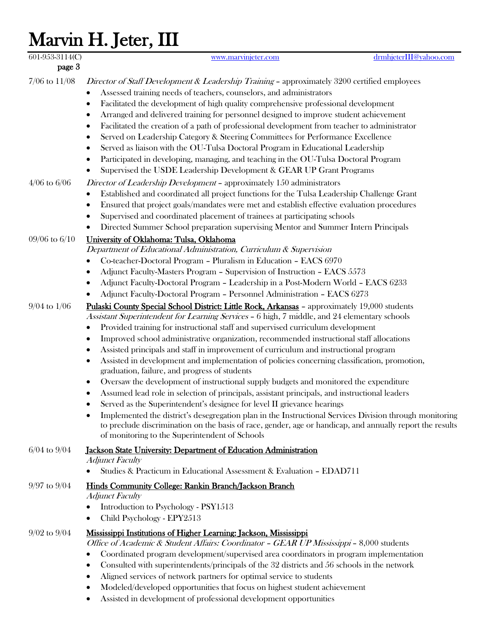| $601-953-3114(C)$<br>page 3 |                                                                                              | www.marvinjeter.com                                                                                                                                                                                                                                                                                                                                                                                                                                                                                                                                                                                                                                                                                                                                                                                                                                                                                                                                                                                                                                                                                                                                                  | drmhjeterIII@yahoo.com |
|-----------------------------|----------------------------------------------------------------------------------------------|----------------------------------------------------------------------------------------------------------------------------------------------------------------------------------------------------------------------------------------------------------------------------------------------------------------------------------------------------------------------------------------------------------------------------------------------------------------------------------------------------------------------------------------------------------------------------------------------------------------------------------------------------------------------------------------------------------------------------------------------------------------------------------------------------------------------------------------------------------------------------------------------------------------------------------------------------------------------------------------------------------------------------------------------------------------------------------------------------------------------------------------------------------------------|------------------------|
| $7/06$ to $11/08$           | ٠<br>$\bullet$<br>$\bullet$<br>$\bullet$<br>$\bullet$<br>٠<br>٠                              | Director of Staff Development & Leadership Training - approximately $3200$ certified employees<br>Assessed training needs of teachers, counselors, and administrators<br>Facilitated the development of high quality comprehensive professional development<br>Arranged and delivered training for personnel designed to improve student achievement<br>Facilitated the creation of a path of professional development from teacher to administrator<br>Served on Leadership Category & Steering Committees for Performance Excellence<br>Served as liaison with the OU-Tulsa Doctoral Program in Educational Leadership<br>Participated in developing, managing, and teaching in the OU-Tulsa Doctoral Program<br>Supervised the USDE Leadership Development & GEAR UP Grant Programs                                                                                                                                                                                                                                                                                                                                                                               |                        |
| $4/06$ to $6/06$            | ٠<br>$\bullet$                                                                               | Director of Leadership Development - approximately 150 administrators<br>Established and coordinated all project functions for the Tulsa Leadership Challenge Grant<br>Ensured that project goals/mandates were met and establish effective evaluation procedures<br>Supervised and coordinated placement of trainees at participating schools<br>Directed Summer School preparation supervising Mentor and Summer Intern Principals                                                                                                                                                                                                                                                                                                                                                                                                                                                                                                                                                                                                                                                                                                                                 |                        |
| $09/06$ to $6/10$           | University of Oklahoma: Tulsa, Oklahoma<br>$\bullet$                                         | Department of Educational Administration, Curriculum & Supervision<br>Co-teacher-Doctoral Program - Pluralism in Education - EACS 6970<br>Adjunct Faculty-Masters Program - Supervision of Instruction - EACS 5573<br>Adjunct Faculty-Doctoral Program - Leadership in a Post-Modern World - EACS 6233<br>Adjunct Faculty-Doctoral Program - Personnel Administration - EACS 6273                                                                                                                                                                                                                                                                                                                                                                                                                                                                                                                                                                                                                                                                                                                                                                                    |                        |
| $9/04$ to $1/06$            | $\bullet$<br>٠<br>٠<br>٠                                                                     | Pulaski County Special School District: Little Rock, Arkansas - approximately 19,000 students<br>Assistant Superintendent for Learning Services - 6 high, 7 middle, and 24 elementary schools<br>Provided training for instructional staff and supervised curriculum development<br>Improved school administrative organization, recommended instructional staff allocations<br>Assisted principals and staff in improvement of curriculum and instructional program<br>Assisted in development and implementation of policies concerning classification, promotion,<br>graduation, failure, and progress of students<br>Oversaw the development of instructional supply budgets and monitored the expenditure<br>Assumed lead role in selection of principals, assistant principals, and instructional leaders<br>Served as the Superintendent's designee for level II grievance hearings<br>Implemented the district's desegregation plan in the Instructional Services Division through monitoring<br>to preclude discrimination on the basis of race, gender, age or handicap, and annually report the results<br>of monitoring to the Superintendent of Schools |                        |
| $6/04$ to $9/04$            | <b>Adjunct Faculty</b>                                                                       | Jackson State University: Department of Education Administration<br>Studies & Practicum in Educational Assessment & Evaluation - EDAD711                                                                                                                                                                                                                                                                                                                                                                                                                                                                                                                                                                                                                                                                                                                                                                                                                                                                                                                                                                                                                             |                        |
| $9/97$ to $9/04$            | <b>Adjunct Faculty</b><br>Introduction to Psychology - PSY1513<br>Child Psychology - EPY2513 | Hinds Community College: Rankin Branch/Jackson Branch                                                                                                                                                                                                                                                                                                                                                                                                                                                                                                                                                                                                                                                                                                                                                                                                                                                                                                                                                                                                                                                                                                                |                        |
| $9/02$ to $9/04$            | $\bullet$<br>٠                                                                               | Mississippi Institutions of Higher Learning: Jackson, Mississippi<br>Office of Academic & Student Affairs: Coordinator - GEAR UP Mississippi - 8,000 students<br>Coordinated program development/supervised area coordinators in program implementation<br>Consulted with superintendents/principals of the 32 districts and 56 schools in the network<br>Aligned services of network partners for optimal service to students<br>Modeled/developed opportunities that focus on highest student achievement                                                                                                                                                                                                                                                                                                                                                                                                                                                                                                                                                                                                                                                          |                        |

• Assisted in development of professional development opportunities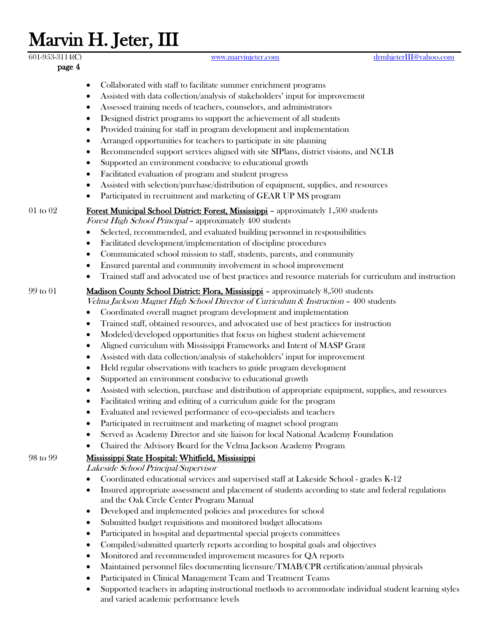### page 4

- Collaborated with staff to facilitate summer enrichment programs
- Assisted with data collection/analysis of stakeholders' input for improvement
- Assessed training needs of teachers, counselors, and administrators
- Designed district programs to support the achievement of all students
- Provided training for staff in program development and implementation
- Arranged opportunities for teachers to participate in site planning
- Recommended support services aligned with site SIPlans, district visions, and NCLB
- Supported an environment conducive to educational growth
- Facilitated evaluation of program and student progress
- Assisted with selection/purchase/distribution of equipment, supplies, and resources
- Participated in recruitment and marketing of GEAR UP MS program

## 01 to 02 Forest Municipal School District: Forest, Mississippi - approximately 1,500 students

- Forest High School Principal approximately 400 students
- Selected, recommended, and evaluated building personnel in responsibilities
- Facilitated development/implementation of discipline procedures
- Communicated school mission to staff, students, parents, and community
- Ensured parental and community involvement in school improvement
- Trained staff and advocated use of best practices and resource materials for curriculum and instruction

### 99 to 01 **Madison County School District: Flora, Mississippi** – approximately 8,500 students

- Velma Jackson Magnet High School Director of Curriculum & Instruction 400 students
- Coordinated overall magnet program development and implementation
- Trained staff, obtained resources, and advocated use of best practices for instruction
- Modeled/developed opportunities that focus on highest student achievement
- Aligned curriculum with Mississippi Frameworks and Intent of MASP Grant
- Assisted with data collection/analysis of stakeholders' input for improvement
- Held regular observations with teachers to guide program development
- Supported an environment conducive to educational growth
- Assisted with selection, purchase and distribution of appropriate equipment, supplies, and resources
- Facilitated writing and editing of a curriculum guide for the program
- Evaluated and reviewed performance of eco-specialists and teachers
- Participated in recruitment and marketing of magnet school program
- Served as Academy Director and site liaison for local National Academy Foundation
- Chaired the Advisory Board for the Velma Jackson Academy Program

### 98 to 99 Mississippi State Hospital: Whitfield, Mississippi

Lakeside School Principal/Supervisor

- Coordinated educational services and supervised staff at Lakeside School grades K-12
- Insured appropriate assessment and placement of students according to state and federal regulations and the Oak Circle Center Program Manual
- Developed and implemented policies and procedures for school
- Submitted budget requisitions and monitored budget allocations
- Participated in hospital and departmental special projects committees
- Compiled/submitted quarterly reports according to hospital goals and objectives
- Monitored and recommended improvement measures for QA reports
- Maintained personnel files documenting licensure/TMAB/CPR certification/annual physicals
- Participated in Clinical Management Team and Treatment Teams
- Supported teachers in adapting instructional methods to accommodate individual student learning styles and varied academic performance levels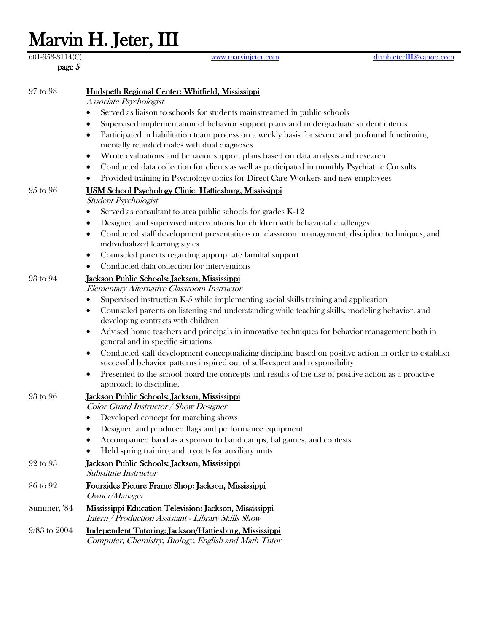page 5

| 97 to 98         | Hudspeth Regional Center: Whitfield, Mississippi                                                                                                                                           |
|------------------|--------------------------------------------------------------------------------------------------------------------------------------------------------------------------------------------|
|                  | Associate Psychologist                                                                                                                                                                     |
|                  | Served as liaison to schools for students mainstreamed in public schools                                                                                                                   |
|                  | Supervised implementation of behavior support plans and undergraduate student interns                                                                                                      |
|                  | Participated in habilitation team process on a weekly basis for severe and profound functioning<br>٠<br>mentally retarded males with dual diagnoses                                        |
|                  | Wrote evaluations and behavior support plans based on data analysis and research<br>٠                                                                                                      |
|                  | Conducted data collection for clients as well as participated in monthly Psychiatric Consults<br>٠                                                                                         |
|                  | Provided training in Psychology topics for Direct Care Workers and new employees<br>٠                                                                                                      |
| 95 to 96         | <b>USM School Psychology Clinic: Hattiesburg, Mississippi</b>                                                                                                                              |
|                  | <b>Student Psychologist</b>                                                                                                                                                                |
|                  | Served as consultant to area public schools for grades K-12                                                                                                                                |
|                  | Designed and supervised interventions for children with behavioral challenges<br>٠                                                                                                         |
|                  | Conducted staff development presentations on classroom management, discipline techniques, and<br>٠<br>individualized learning styles                                                       |
|                  | Counseled parents regarding appropriate familial support<br>٠                                                                                                                              |
|                  | Conducted data collection for interventions                                                                                                                                                |
| 93 to 94         | Jackson Public Schools: Jackson, Mississippi                                                                                                                                               |
|                  | Elementary Alternative Classroom Instructor                                                                                                                                                |
|                  | Supervised instruction K-5 while implementing social skills training and application                                                                                                       |
|                  | Counseled parents on listening and understanding while teaching skills, modeling behavior, and<br>٠<br>developing contracts with children                                                  |
|                  | Advised home teachers and principals in innovative techniques for behavior management both in<br>٠<br>general and in specific situations                                                   |
|                  | Conducted staff development conceptualizing discipline based on positive action in order to establish<br>٠<br>successful behavior patterns inspired out of self-respect and responsibility |
|                  | Presented to the school board the concepts and results of the use of positive action as a proactive<br>٠                                                                                   |
|                  | approach to discipline.                                                                                                                                                                    |
| 93 to 96         | Jackson Public Schools: Jackson, Mississippi                                                                                                                                               |
|                  | Color Guard Instructor / Show Designer                                                                                                                                                     |
|                  | Developed concept for marching shows                                                                                                                                                       |
|                  | Designed and produced flags and performance equipment                                                                                                                                      |
|                  | Accompanied band as a sponsor to band camps, ballgames, and contests                                                                                                                       |
|                  | Held spring training and tryouts for auxiliary units                                                                                                                                       |
| 92 to 93         | Jackson Public Schools: Jackson, Mississippi<br>Substitute Instructor                                                                                                                      |
| 86 to 92         | Foursides Picture Frame Shop: Jackson, Mississippi<br>Owner/Manager                                                                                                                        |
| Summer, '84      | Mississippi Education Television: Jackson, Mississippi<br>Intern / Production Assistant - Library Skills Show                                                                              |
| $9/83$ to $2004$ | Independent Tutoring: Jackson/Hattiesburg, Mississippi                                                                                                                                     |

Computer, Chemistry, Biology, English and Math Tutor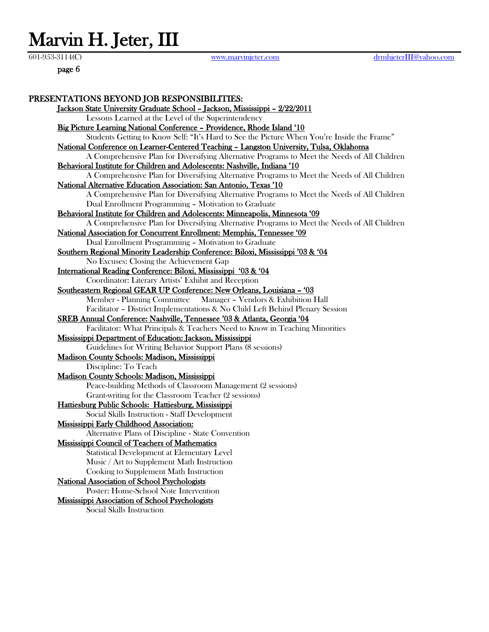page 6

601-953-3114(C) [www.marvinjeter.com](http://www.marvinjeter.com/) [drmhjeterIII@yahoo.com](mailto:drmhjeterIII@yahoo.com)

PRESENTATIONS BEYOND JOB RESPONSIBILITIES: Jackson State University Graduate School – Jackson, Mississippi – 2/22/2011 Lessons Learned at the Level of the Superintendency Big Picture Learning National Conference – Providence, Rhode Island '10 Students Getting to Know Self: "It's Hard to See the Picture When You're Inside the Frame" National Conference on Learner-Centered Teaching – Langston University, Tulsa, Oklahoma A Comprehensive Plan for Diversifying Alternative Programs to Meet the Needs of All Children Behavioral Institute for Children and Adolescents: Nashville, Indiana '10 A Comprehensive Plan for Diversifying Alternative Programs to Meet the Needs of All Children National Alternative Education Association: San Antonio, Texas '10 A Comprehensive Plan for Diversifying Alternative Programs to Meet the Needs of All Children Dual Enrollment Programming – Motivation to Graduate Behavioral Institute for Children and Adolescents: Minneapolis, Minnesota '09 A Comprehensive Plan for Diversifying Alternative Programs to Meet the Needs of All Children National Association for Concurrent Enrollment: Memphis, Tennessee '09 Dual Enrollment Programming – Motivation to Graduate Southern Regional Minority Leadership Conference: Biloxi, Mississippi '03 & '04 No Excuses: Closing the Achievement Gap International Reading Conference: Biloxi, Mississippi '03 & '04 Coordinator: Literary Artists' Exhibit and Reception Southeastern Regional GEAR UP Conference: New Orleans, Louisiana – '03 Member - Planning Committee Manager – Vendors & Exhibition Hall Facilitator – District Implementations & No Child Left Behind Plenary Session SREB Annual Conference: Nashville, Tennessee '03 & Atlanta, Georgia '04 Facilitator: What Principals & Teachers Need to Know in Teaching Minorities Mississippi Department of Education: Jackson, Mississippi Guidelines for Writing Behavior Support Plans (8 sessions) Madison County Schools: Madison, Mississippi Discipline: To Teach Madison County Schools: Madison, Mississippi Peace-building Methods of Classroom Management (2 sessions) Grant-writing for the Classroom Teacher (2 sessions) Hattiesburg Public Schools: Hattiesburg, Mississippi Social Skills Instruction - Staff Development Mississippi Early Childhood Association: Alternative Plans of Discipline - State Convention Mississippi Council of Teachers of Mathematics Statistical Development at Elementary Level Music / Art to Supplement Math Instruction Cooking to Supplement Math Instruction National Association of School Psychologists Poster: Home-School Note Intervention Mississippi Association of School Psychologists Social Skills Instruction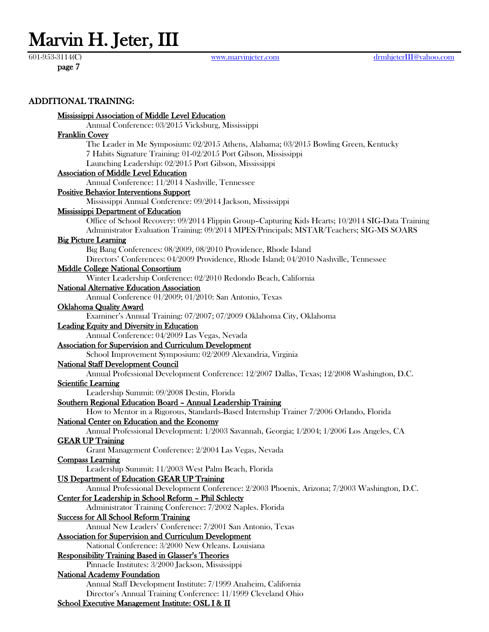page 7

#### ADDITIONAL TRAINING:

#### Mississippi Association of Middle Level Education Annual Conference: 03/2015 Vicksburg, Mississippi Franklin Covey The Leader in Me Symposium: 02/2015 Athens, Alabama; 03/2015 Bowling Green, Kentucky 7 Habits Signature Training: 01-02/2015 Port Gibson, Mississippi Launching Leadership: 02/2015 Port Gibson, Mississippi Association of Middle Level Education Annual Conference: 11/2014 Nashville, Tennessee Positive Behavior Interventions Support Mississippi Annual Conference: 09/2014 Jackson, Mississippi Mississippi Department of Education Office of School Recovery: 09/2014 Flippin Group–Capturing Kids Hearts; 10/2014 SIG-Data Training Administrator Evaluation Training: 09/2014 MPES/Principals; MSTAR/Teachers; SIG-MS SOARS Big Picture Learning Big Bang Conferences: 08/2009, 08/2010 Providence, Rhode Island Directors' Conferences: 04/2009 Providence, Rhode Island; 04/2010 Nashville, Tennessee Middle College National Consortium Winter Leadership Conference: 02/2010 Redondo Beach, California National Alternative Education Association Annual Conference 01/2009; 01/2010: San Antonio, Texas Oklahoma Quality Award Examiner's Annual Training: 07/2007; 07/2009 Oklahoma City, Oklahoma Leading Equity and Diversity in Education Annual Conference: 04/2009 Las Vegas, Nevada Association for Supervision and Curriculum Development School Improvement Symposium: 02/2009 Alexandria, Virginia National Staff Development Council Annual Professional Development Conference: 12/2007 Dallas, Texas; 12/2008 Washington, D.C. Scientific Learning Leadership Summit: 09/2008 Destin, Florida Southern Regional Education Board – Annual Leadership Training How to Mentor in a Rigorous, Standards-Based Internship Trainer 7/2006 Orlando, Florida National Center on Education and the Economy Annual Professional Development: 1/2003 Savannah, Georgia; 1/2004; 1/2006 Los Angeles, CA GEAR UP Training Grant Management Conference: 2/2004 Las Vegas, Nevada Compass Learning Leadership Summit: 11/2003 West Palm Beach, Florida US Department of Education GEAR UP Training Annual Professional Development Conference: 2/2003 Phoenix, Arizona; 7/2003 Washington, D.C. Center for Leadership in School Reform – Phil Schlecty Administrator Training Conference: 7/2002 Naples. Florida Success for All School Reform Training Annual New Leaders' Conference: 7/2001 San Antonio, Texas Association for Supervision and Curriculum Development National Conference: 3/2000 New Orleans. Louisiana Responsibility Training Based in Glasser's Theories Pinnacle Institutes: 3/2000 Jackson, Mississippi National Academy Foundation Annual Staff Development Institute: 7/1999 Anaheim, California Director's Annual Training Conference: 11/1999 Cleveland Ohio School Executive Management Institute: OSL I & II